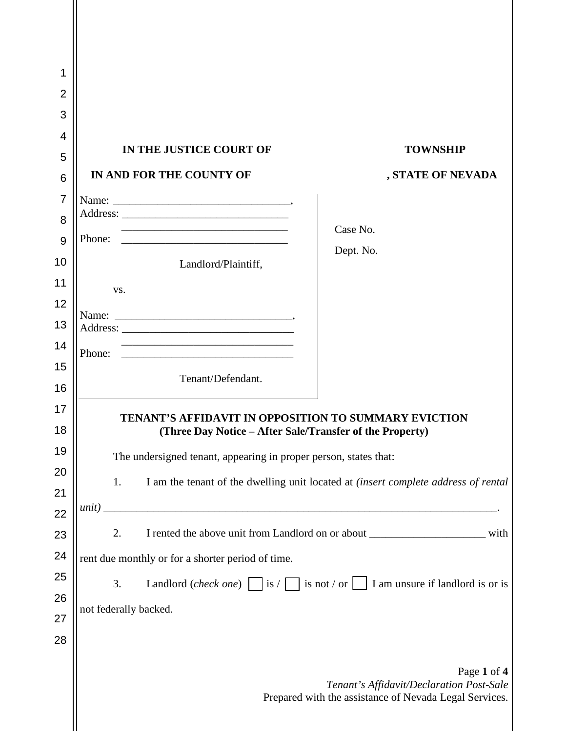| 1<br>$\overline{2}$<br>3<br>4<br>5<br>6<br>$\overline{7}$<br>8 | IN THE JUSTICE COURT OF<br>IN AND FOR THE COUNTY OF                                                                                                                                                                                                                                                                     | <b>TOWNSHIP</b><br>, STATE OF NEVADA                                                                              |  |
|----------------------------------------------------------------|-------------------------------------------------------------------------------------------------------------------------------------------------------------------------------------------------------------------------------------------------------------------------------------------------------------------------|-------------------------------------------------------------------------------------------------------------------|--|
| 9<br>10                                                        | Phone:<br><u> 1989 - Johann John Stone, mars eta biztanleria (h. 1989).</u><br>Landlord/Plaintiff,                                                                                                                                                                                                                      | Case No.<br>Dept. No.                                                                                             |  |
| 11<br>12<br>13<br>14<br>15<br>16                               | VS.<br><u> 2000 - Jan James James Barnett, amerikan bisa di sebagai pertama dan pada tahun 1980 - Perangan Barnett Barn</u><br>Phone:<br>Tenant/Defendant.                                                                                                                                                              |                                                                                                                   |  |
| 17<br>18<br>19<br>20<br>21<br>22                               | TENANT'S AFFIDAVIT IN OPPOSITION TO SUMMARY EVICTION<br>(Three Day Notice – After Sale/Transfer of the Property)<br>The undersigned tenant, appearing in proper person, states that:<br>I am the tenant of the dwelling unit located at <i>(insert complete address of rental</i><br>1.                                 |                                                                                                                   |  |
| 23<br>24<br>25<br>26<br>27<br>28                               | I rented the above unit from Landlord on or about _____________________________ with<br>2.<br>rent due monthly or for a shorter period of time.<br>Landlord (check one) is $\sqrt{\phantom{a}}$ is not $\sqrt{\phantom{a}}$ is not $\sqrt{\phantom{a}}$ I am unsure if landlord is or is<br>3.<br>not federally backed. |                                                                                                                   |  |
|                                                                |                                                                                                                                                                                                                                                                                                                         | Page 1 of 4<br>Tenant's Affidavit/Declaration Post-Sale<br>Prepared with the assistance of Nevada Legal Services. |  |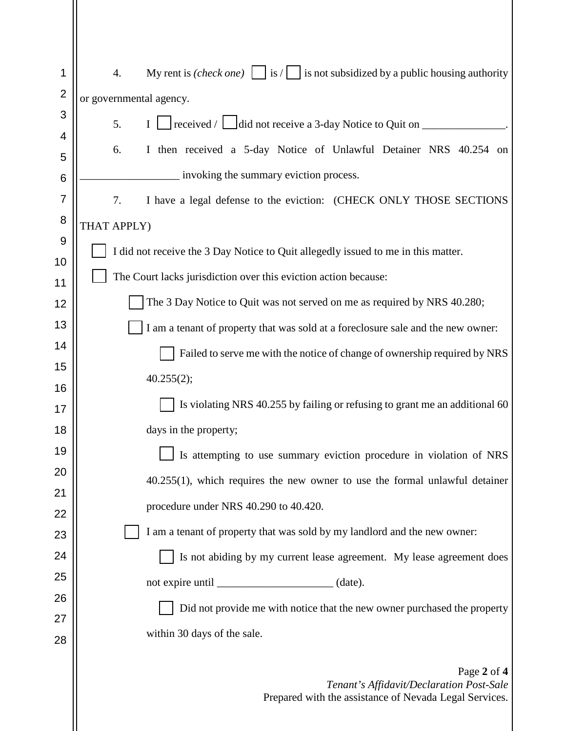| 1                   | My rent is <i>(check one)</i> $\boxed{\phantom{a}}$ is <i>/</i> $\boxed{\phantom{a}}$ is not subsidized by a public housing authority<br>4. |  |  |
|---------------------|---------------------------------------------------------------------------------------------------------------------------------------------|--|--|
| $\overline{2}$      | or governmental agency.                                                                                                                     |  |  |
| 3                   | I $\Box$ received / $\Box$ did not receive a 3-day Notice to Quit on $\Box$<br>5.                                                           |  |  |
| 4                   | 6.<br>I then received a 5-day Notice of Unlawful Detainer NRS 40.254 on                                                                     |  |  |
| 5                   | invoking the summary eviction process.                                                                                                      |  |  |
| 6                   |                                                                                                                                             |  |  |
| $\overline{7}$<br>8 | I have a legal defense to the eviction: (CHECK ONLY THOSE SECTIONS<br>7.                                                                    |  |  |
| 9                   | THAT APPLY)                                                                                                                                 |  |  |
| 10                  | I did not receive the 3 Day Notice to Quit allegedly issued to me in this matter.                                                           |  |  |
| 11                  | The Court lacks jurisdiction over this eviction action because:                                                                             |  |  |
| 12                  | The 3 Day Notice to Quit was not served on me as required by NRS 40.280;                                                                    |  |  |
| 13                  | I am a tenant of property that was sold at a foreclosure sale and the new owner:                                                            |  |  |
| 14                  | Failed to serve me with the notice of change of ownership required by NRS                                                                   |  |  |
| 15                  | 40.255(2);                                                                                                                                  |  |  |
| 16                  | Is violating NRS 40.255 by failing or refusing to grant me an additional 60                                                                 |  |  |
| 17<br>18            |                                                                                                                                             |  |  |
| 19                  | days in the property;                                                                                                                       |  |  |
| 20                  | Is attempting to use summary eviction procedure in violation of NRS                                                                         |  |  |
| 21                  | $40.255(1)$ , which requires the new owner to use the formal unlawful detainer                                                              |  |  |
| 22                  | procedure under NRS 40.290 to 40.420.                                                                                                       |  |  |
| 23                  | I am a tenant of property that was sold by my landlord and the new owner:                                                                   |  |  |
| 24                  | Is not abiding by my current lease agreement. My lease agreement does                                                                       |  |  |
| 25                  |                                                                                                                                             |  |  |
| 26                  | Did not provide me with notice that the new owner purchased the property                                                                    |  |  |
| 27                  | within 30 days of the sale.                                                                                                                 |  |  |
| 28                  |                                                                                                                                             |  |  |
|                     | Page 2 of 4<br>Tenant's Affidavit/Declaration Post-Sale<br>Prepared with the assistance of Nevada Legal Services.                           |  |  |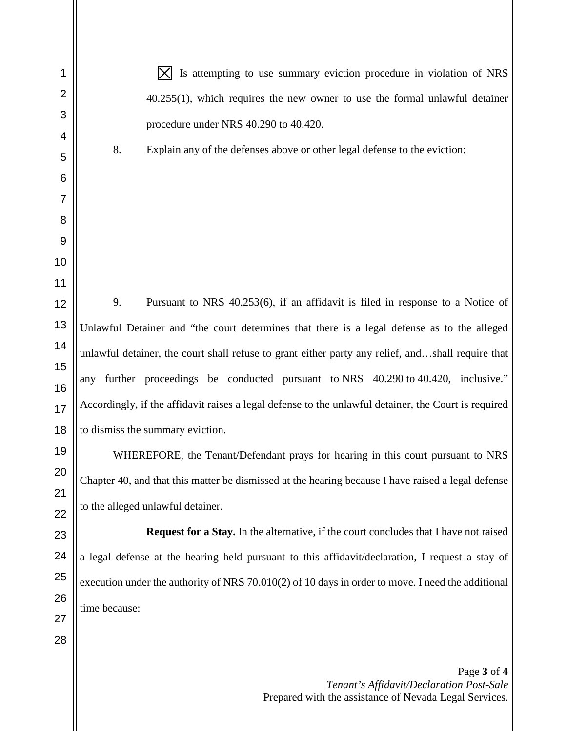$|\times|$  Is attempting to use summary eviction procedure in violation of NRS 40.255(1), which requires the new owner to use the formal unlawful detainer procedure under NRS 40.290 to 40.420.

8. Explain any of the defenses above or other legal defense to the eviction:

9. Pursuant to NRS 40.253(6), if an affidavit is filed in response to a Notice of Unlawful Detainer and "the court determines that there is a legal defense as to the alleged unlawful detainer, the court shall refuse to grant either party any relief, and…shall require that any further proceedings be conducted pursuant to NRS 40.290 to 40.420, inclusive." Accordingly, if the affidavit raises a legal defense to the unlawful detainer, the Court is required to dismiss the summary eviction.

WHEREFORE, the Tenant/Defendant prays for hearing in this court pursuant to NRS Chapter 40, and that this matter be dismissed at the hearing because I have raised a legal defense to the alleged unlawful detainer.

**Request for a Stay.** In the alternative, if the court concludes that I have not raised a legal defense at the hearing held pursuant to this affidavit/declaration, I request a stay of execution under the authority of NRS 70.010(2) of 10 days in order to move. I need the additional time because: